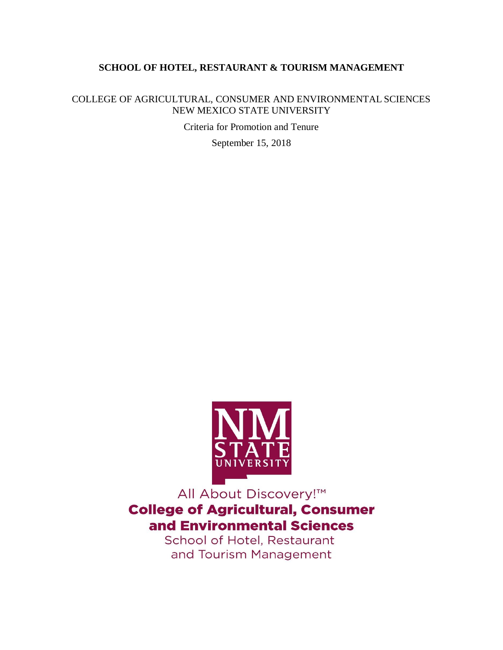# **SCHOOL OF HOTEL, RESTAURANT & TOURISM MANAGEMENT**

COLLEGE OF AGRICULTURAL, CONSUMER AND ENVIRONMENTAL SCIENCES NEW MEXICO STATE UNIVERSITY

Criteria for Promotion and Tenure

September 15, 2018



All About Discovery!™ **College of Agricultural, Consumer** and Environmental Sciences

School of Hotel, Restaurant and Tourism Management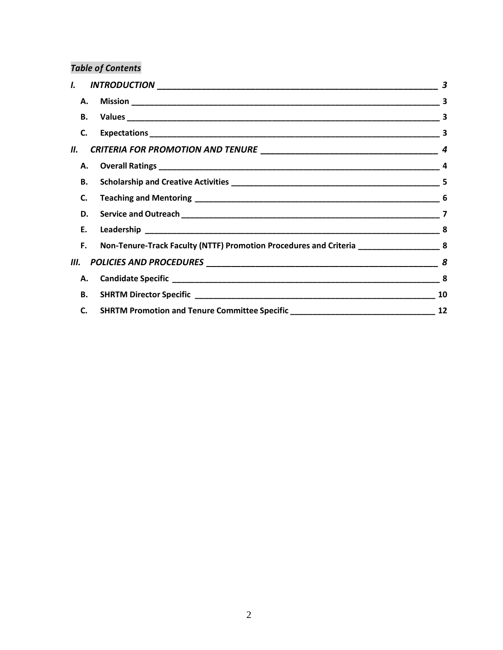# *Table of Contents*

| I.    |                                                                                             | $\boldsymbol{\beta}$ |
|-------|---------------------------------------------------------------------------------------------|----------------------|
|       |                                                                                             |                      |
|       |                                                                                             |                      |
| C.    |                                                                                             |                      |
| II. I |                                                                                             | 4                    |
|       |                                                                                             | -4                   |
| В.    |                                                                                             | -5                   |
| C.    |                                                                                             |                      |
|       |                                                                                             |                      |
| Е.    |                                                                                             |                      |
| F.    | Non-Tenure-Track Faculty (NTTF) Promotion Procedures and Criteria _______________________ 8 |                      |
|       |                                                                                             |                      |
| А.    |                                                                                             | 8                    |
|       |                                                                                             | 10                   |
| C.    |                                                                                             | 12                   |
|       |                                                                                             |                      |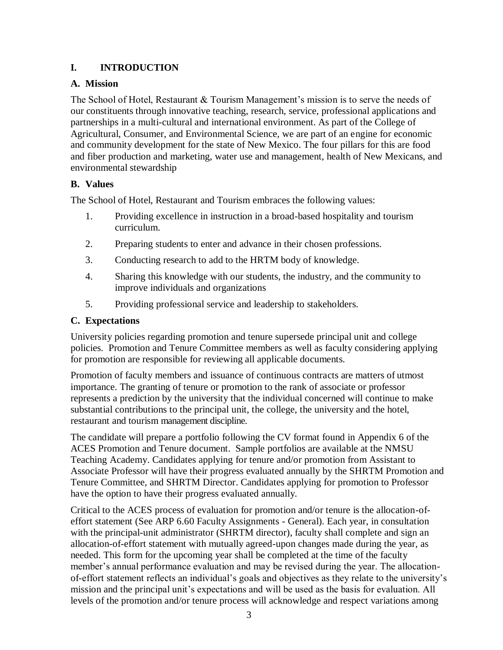# <span id="page-2-0"></span>**I. INTRODUCTION**

# <span id="page-2-1"></span>**A. Mission**

The School of Hotel, Restaurant & Tourism Management's mission is to serve the needs of our constituents through innovative teaching, research, service, professional applications and partnerships in a multi-cultural and international environment. As part of the College of Agricultural, Consumer, and Environmental Science, we are part of an engine for economic and community development for the state of New Mexico. The four pillars for this are food and fiber production and marketing, water use and management, health of New Mexicans, and environmental stewardship

# <span id="page-2-2"></span>**B. Values**

The School of Hotel, Restaurant and Tourism embraces the following values:

- 1. Providing excellence in instruction in a broad-based hospitality and tourism curriculum.
- 2. Preparing students to enter and advance in their chosen professions.
- 3. Conducting research to add to the HRTM body of knowledge.
- 4. Sharing this knowledge with our students, the industry, and the community to improve individuals and organizations
- 5. Providing professional service and leadership to stakeholders.

# <span id="page-2-3"></span>**C. Expectations**

University policies regarding promotion and tenure supersede principal unit and college policies. Promotion and Tenure Committee members as well as faculty considering applying for promotion are responsible for reviewing all applicable documents.

Promotion of faculty members and issuance of continuous contracts are matters of utmost importance. The granting of tenure or promotion to the rank of associate or professor represents a prediction by the university that the individual concerned will continue to make substantial contributions to the principal unit, the college, the university and the hotel, restaurant and tourism management discipline.

The candidate will prepare a portfolio following the CV format found in Appendix 6 of the ACES Promotion and Tenure document. Sample portfolios are available at the NMSU Teaching Academy. Candidates applying for tenure and/or promotion from Assistant to Associate Professor will have their progress evaluated annually by the SHRTM Promotion and Tenure Committee, and SHRTM Director. Candidates applying for promotion to Professor have the option to have their progress evaluated annually.

Critical to the ACES process of evaluation for promotion and/or tenure is the allocation-ofeffort statement (See ARP 6.60 Faculty Assignments - General). Each year, in consultation with the principal-unit administrator (SHRTM director), faculty shall complete and sign an allocation-of-effort statement with mutually agreed-upon changes made during the year, as needed. This form for the upcoming year shall be completed at the time of the faculty member's annual performance evaluation and may be revised during the year. The allocationof-effort statement reflects an individual's goals and objectives as they relate to the university's mission and the principal unit's expectations and will be used as the basis for evaluation. All levels of the promotion and/or tenure process will acknowledge and respect variations among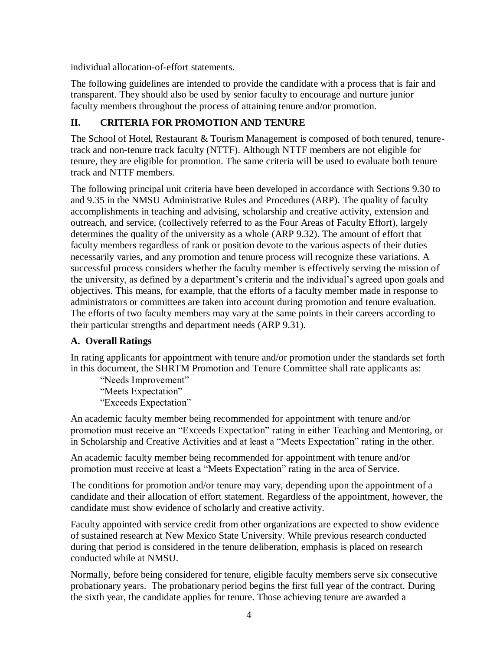individual allocation-of-effort statements.

The following guidelines are intended to provide the candidate with a process that is fair and transparent. They should also be used by senior faculty to encourage and nurture junior faculty members throughout the process of attaining tenure and/or promotion.

# <span id="page-3-0"></span>**II. CRITERIA FOR PROMOTION AND TENURE**

The School of Hotel, Restaurant & Tourism Management is composed of both tenured, tenuretrack and non-tenure track faculty (NTTF). Although NTTF members are not eligible for tenure, they are eligible for promotion. The same criteria will be used to evaluate both tenure track and NTTF members.

The following principal unit criteria have been developed in accordance with Sections 9.30 to and 9.35 in the NMSU Administrative Rules and Procedures (ARP). The quality of faculty accomplishments in teaching and advising, scholarship and creative activity, extension and outreach, and service, (collectively referred to as the Four Areas of Faculty Effort), largely determines the quality of the university as a whole (ARP 9.32). The amount of effort that faculty members regardless of rank or position devote to the various aspects of their duties necessarily varies, and any promotion and tenure process will recognize these variations. A successful process considers whether the faculty member is effectively serving the mission of the university, as defined by a department's criteria and the individual's agreed upon goals and objectives. This means, for example, that the efforts of a faculty member made in response to administrators or committees are taken into account during promotion and tenure evaluation. The efforts of two faculty members may vary at the same points in their careers according to their particular strengths and department needs (ARP 9.31).

### <span id="page-3-1"></span>**A. Overall Ratings**

In rating applicants for appointment with tenure and/or promotion under the standards set forth in this document, the SHRTM Promotion and Tenure Committee shall rate applicants as:

"Needs Improvement"

"Meets Expectation"

"Exceeds Expectation"

An academic faculty member being recommended for appointment with tenure and/or promotion must receive an "Exceeds Expectation" rating in either Teaching and Mentoring, or in Scholarship and Creative Activities and at least a "Meets Expectation" rating in the other.

An academic faculty member being recommended for appointment with tenure and/or promotion must receive at least a "Meets Expectation" rating in the area of Service.

The conditions for promotion and/or tenure may vary, depending upon the appointment of a candidate and their allocation of effort statement. Regardless of the appointment, however, the candidate must show evidence of scholarly and creative activity.

Faculty appointed with service credit from other organizations are expected to show evidence of sustained research at New Mexico State University. While previous research conducted during that period is considered in the tenure deliberation, emphasis is placed on research conducted while at NMSU.

Normally, before being considered for tenure, eligible faculty members serve six consecutive probationary years. The probationary period begins the first full year of the contract. During the sixth year, the candidate applies for tenure. Those achieving tenure are awarded a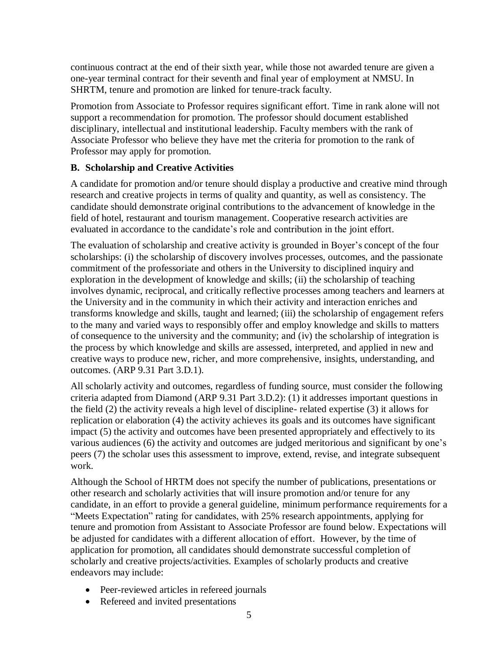continuous contract at the end of their sixth year, while those not awarded tenure are given a one-year terminal contract for their seventh and final year of employment at NMSU. In SHRTM, tenure and promotion are linked for tenure-track faculty.

Promotion from Associate to Professor requires significant effort. Time in rank alone will not support a recommendation for promotion. The professor should document established disciplinary, intellectual and institutional leadership. Faculty members with the rank of Associate Professor who believe they have met the criteria for promotion to the rank of Professor may apply for promotion.

#### <span id="page-4-0"></span>**B. Scholarship and Creative Activities**

A candidate for promotion and/or tenure should display a productive and creative mind through research and creative projects in terms of quality and quantity, as well as consistency. The candidate should demonstrate original contributions to the advancement of knowledge in the field of hotel, restaurant and tourism management. Cooperative research activities are evaluated in accordance to the candidate's role and contribution in the joint effort.

The evaluation of scholarship and creative activity is grounded in Boyer's concept of the four scholarships: (i) the scholarship of discovery involves processes, outcomes, and the passionate commitment of the professoriate and others in the University to disciplined inquiry and exploration in the development of knowledge and skills; (ii) the scholarship of teaching involves dynamic, reciprocal, and critically reflective processes among teachers and learners at the University and in the community in which their activity and interaction enriches and transforms knowledge and skills, taught and learned; (iii) the scholarship of engagement refers to the many and varied ways to responsibly offer and employ knowledge and skills to matters of consequence to the university and the community; and (iv) the scholarship of integration is the process by which knowledge and skills are assessed, interpreted, and applied in new and creative ways to produce new, richer, and more comprehensive, insights, understanding, and outcomes. (ARP 9.31 Part 3.D.1).

All scholarly activity and outcomes, regardless of funding source, must consider the following criteria adapted from Diamond (ARP 9.31 Part 3.D.2): (1) it addresses important questions in the field (2) the activity reveals a high level of discipline- related expertise (3) it allows for replication or elaboration (4) the activity achieves its goals and its outcomes have significant impact (5) the activity and outcomes have been presented appropriately and effectively to its various audiences (6) the activity and outcomes are judged meritorious and significant by one's peers (7) the scholar uses this assessment to improve, extend, revise, and integrate subsequent work.

Although the School of HRTM does not specify the number of publications, presentations or other research and scholarly activities that will insure promotion and/or tenure for any candidate, in an effort to provide a general guideline, minimum performance requirements for a "Meets Expectation" rating for candidates, with 25% research appointments, applying for tenure and promotion from Assistant to Associate Professor are found below. Expectations will be adjusted for candidates with a different allocation of effort. However, by the time of application for promotion, all candidates should demonstrate successful completion of scholarly and creative projects/activities. Examples of scholarly products and creative endeavors may include:

- Peer-reviewed articles in refereed journals
- Refereed and invited presentations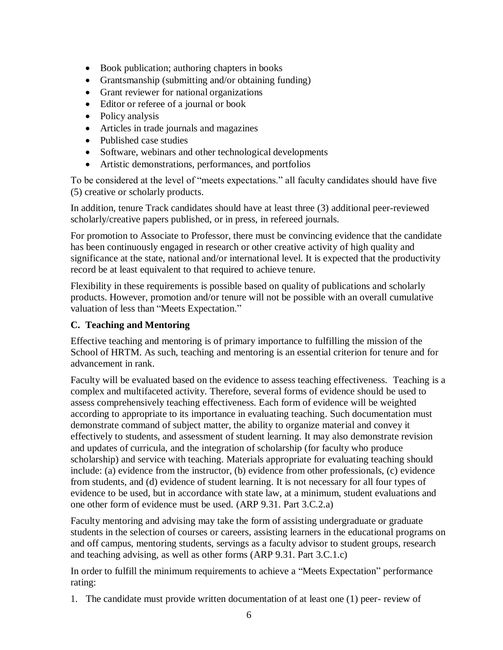- Book publication; authoring chapters in books
- Grantsmanship (submitting and/or obtaining funding)
- Grant reviewer for national organizations
- Editor or referee of a journal or book
- Policy analysis
- Articles in trade journals and magazines
- Published case studies
- Software, webinars and other technological developments
- Artistic demonstrations, performances, and portfolios

To be considered at the level of "meets expectations." all faculty candidates should have five (5) creative or scholarly products.

In addition, tenure Track candidates should have at least three (3) additional peer-reviewed scholarly/creative papers published, or in press, in refereed journals.

For promotion to Associate to Professor, there must be convincing evidence that the candidate has been continuously engaged in research or other creative activity of high quality and significance at the state, national and/or international level. It is expected that the productivity record be at least equivalent to that required to achieve tenure.

Flexibility in these requirements is possible based on quality of publications and scholarly products. However, promotion and/or tenure will not be possible with an overall cumulative valuation of less than "Meets Expectation."

### <span id="page-5-0"></span>**C. Teaching and Mentoring**

Effective teaching and mentoring is of primary importance to fulfilling the mission of the School of HRTM. As such, teaching and mentoring is an essential criterion for tenure and for advancement in rank.

Faculty will be evaluated based on the evidence to assess teaching effectiveness. Teaching is a complex and multifaceted activity. Therefore, several forms of evidence should be used to assess comprehensively teaching effectiveness. Each form of evidence will be weighted according to appropriate to its importance in evaluating teaching. Such documentation must demonstrate command of subject matter, the ability to organize material and convey it effectively to students, and assessment of student learning. It may also demonstrate revision and updates of curricula, and the integration of scholarship (for faculty who produce scholarship) and service with teaching. Materials appropriate for evaluating teaching should include: (a) evidence from the instructor, (b) evidence from other professionals, (c) evidence from students, and (d) evidence of student learning. It is not necessary for all four types of evidence to be used, but in accordance with state law, at a minimum, student evaluations and one other form of evidence must be used. (ARP 9.31. Part 3.C.2.a)

Faculty mentoring and advising may take the form of assisting undergraduate or graduate students in the selection of courses or careers, assisting learners in the educational programs on and off campus, mentoring students, servings as a faculty advisor to student groups, research and teaching advising, as well as other forms (ARP 9.31. Part 3.C.1.c)

In order to fulfill the minimum requirements to achieve a "Meets Expectation" performance rating:

1. The candidate must provide written documentation of at least one (1) peer- review of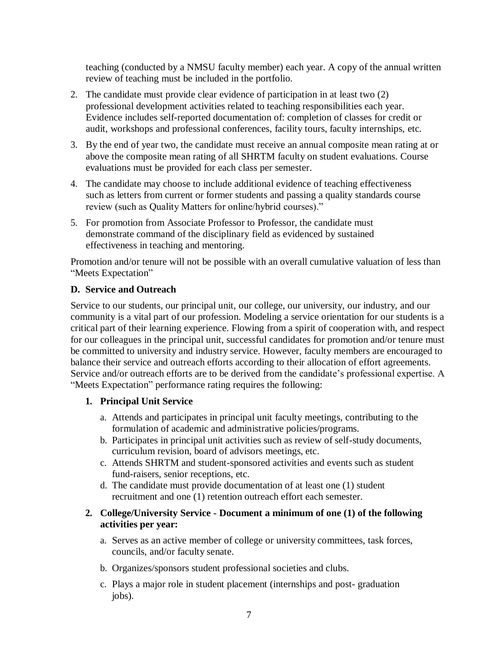teaching (conducted by a NMSU faculty member) each year. A copy of the annual written review of teaching must be included in the portfolio.

- 2. The candidate must provide clear evidence of participation in at least two (2) professional development activities related to teaching responsibilities each year. Evidence includes self-reported documentation of: completion of classes for credit or audit, workshops and professional conferences, facility tours, faculty internships, etc.
- 3. By the end of year two, the candidate must receive an annual composite mean rating at or above the composite mean rating of all SHRTM faculty on student evaluations. Course evaluations must be provided for each class per semester.
- 4. The candidate may choose to include additional evidence of teaching effectiveness such as letters from current or former students and passing a quality standards course review (such as Quality Matters for online/hybrid courses)."
- 5. For promotion from Associate Professor to Professor, the candidate must demonstrate command of the disciplinary field as evidenced by sustained effectiveness in teaching and mentoring.

Promotion and/or tenure will not be possible with an overall cumulative valuation of less than "Meets Expectation"

#### <span id="page-6-0"></span>**D. Service and Outreach**

Service to our students, our principal unit, our college, our university, our industry, and our community is a vital part of our profession. Modeling a service orientation for our students is a critical part of their learning experience. Flowing from a spirit of cooperation with, and respect for our colleagues in the principal unit, successful candidates for promotion and/or tenure must be committed to university and industry service. However, faculty members are encouraged to balance their service and outreach efforts according to their allocation of effort agreements. Service and/or outreach efforts are to be derived from the candidate's professional expertise. A "Meets Expectation" performance rating requires the following:

#### **1. Principal Unit Service**

- a. Attends and participates in principal unit faculty meetings, contributing to the formulation of academic and administrative policies/programs.
- b. Participates in principal unit activities such as review of self-study documents, curriculum revision, board of advisors meetings, etc.
- c. Attends SHRTM and student-sponsored activities and events such as student fund-raisers, senior receptions, etc.
- d. The candidate must provide documentation of at least one (1) student recruitment and one (1) retention outreach effort each semester.
- **2. College/University Service - Document a minimum of one (1) of the following activities per year:**
	- a. Serves as an active member of college or university committees, task forces, councils, and/or faculty senate.
	- b. Organizes/sponsors student professional societies and clubs.
	- c. Plays a major role in student placement (internships and post- graduation jobs).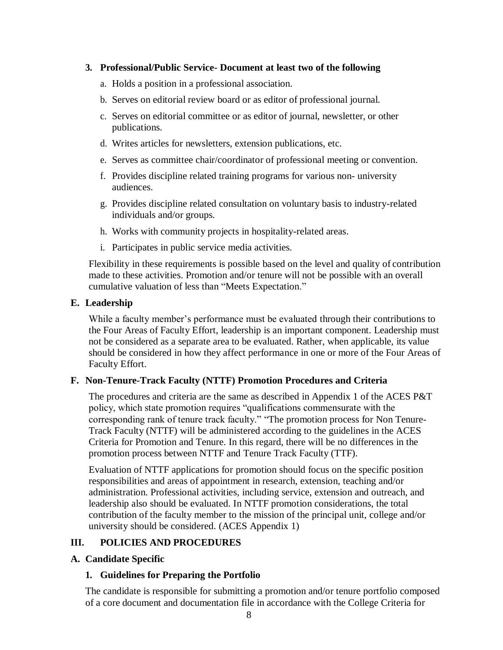#### **3. Professional/Public Service- Document at least two of the following**

- a. Holds a position in a professional association.
- b. Serves on editorial review board or as editor of professional journal.
- c. Serves on editorial committee or as editor of journal, newsletter, or other publications.
- d. Writes articles for newsletters, extension publications, etc.
- e. Serves as committee chair/coordinator of professional meeting or convention.
- f. Provides discipline related training programs for various non- university audiences.
- g. Provides discipline related consultation on voluntary basis to industry-related individuals and/or groups.
- h. Works with community projects in hospitality-related areas.
- i. Participates in public service media activities.

Flexibility in these requirements is possible based on the level and quality of contribution made to these activities. Promotion and/or tenure will not be possible with an overall cumulative valuation of less than "Meets Expectation."

#### <span id="page-7-0"></span>**E. Leadership**

While a faculty member's performance must be evaluated through their contributions to the Four Areas of Faculty Effort, leadership is an important component. Leadership must not be considered as a separate area to be evaluated. Rather, when applicable, its value should be considered in how they affect performance in one or more of the Four Areas of Faculty Effort.

#### <span id="page-7-1"></span>**F. Non-Tenure-Track Faculty (NTTF) Promotion Procedures and Criteria**

The procedures and criteria are the same as described in Appendix 1 of the ACES P&T policy, which state promotion requires "qualifications commensurate with the corresponding rank of tenure track faculty." "The promotion process for Non Tenure-Track Faculty (NTTF) will be administered according to the guidelines in the ACES Criteria for Promotion and Tenure. In this regard, there will be no differences in the promotion process between NTTF and Tenure Track Faculty (TTF).

Evaluation of NTTF applications for promotion should focus on the specific position responsibilities and areas of appointment in research, extension, teaching and/or administration. Professional activities, including service, extension and outreach, and leadership also should be evaluated. In NTTF promotion considerations, the total contribution of the faculty member to the mission of the principal unit, college and/or university should be considered. (ACES Appendix 1)

#### <span id="page-7-2"></span>**III. POLICIES AND PROCEDURES**

#### <span id="page-7-3"></span>**A. Candidate Specific**

#### **1. Guidelines for Preparing the Portfolio**

The candidate is responsible for submitting a promotion and/or tenure portfolio composed of a core document and documentation file in accordance with the College Criteria for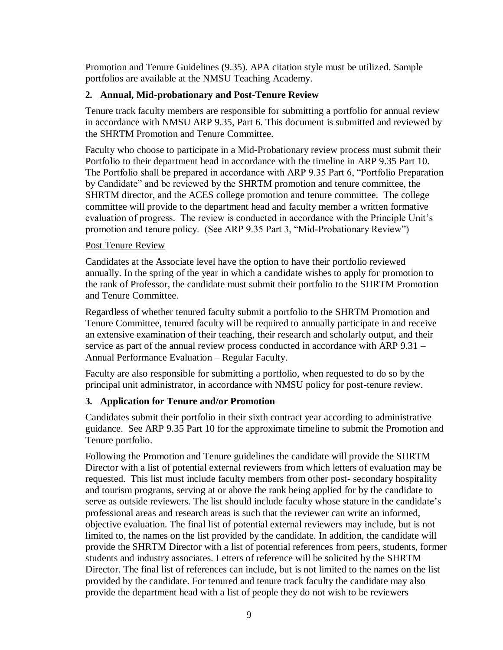Promotion and Tenure Guidelines (9.35). APA citation style must be utilized. Sample portfolios are available at the NMSU Teaching Academy.

#### **2. Annual, Mid-probationary and Post-Tenure Review**

Tenure track faculty members are responsible for submitting a portfolio for annual review in accordance with NMSU ARP 9.35, Part 6. This document is submitted and reviewed by the SHRTM Promotion and Tenure Committee.

Faculty who choose to participate in a Mid-Probationary review process must submit their Portfolio to their department head in accordance with the timeline in ARP 9.35 Part 10. The Portfolio shall be prepared in accordance with ARP 9.35 Part 6, "Portfolio Preparation by Candidate" and be reviewed by the SHRTM promotion and tenure committee, the SHRTM director, and the ACES college promotion and tenure committee. The college committee will provide to the department head and faculty member a written formative evaluation of progress. The review is conducted in accordance with the Principle Unit's promotion and tenure policy. (See ARP 9.35 Part 3, "Mid-Probationary Review")

#### Post Tenure Review

Candidates at the Associate level have the option to have their portfolio reviewed annually. In the spring of the year in which a candidate wishes to apply for promotion to the rank of Professor, the candidate must submit their portfolio to the SHRTM Promotion and Tenure Committee.

Regardless of whether tenured faculty submit a portfolio to the SHRTM Promotion and Tenure Committee, tenured faculty will be required to annually participate in and receive an extensive examination of their teaching, their research and scholarly output, and their service as part of the annual review process conducted in accordance with ARP 9.31 – Annual Performance Evaluation – Regular Faculty.

Faculty are also responsible for submitting a portfolio, when requested to do so by the principal unit administrator, in accordance with NMSU policy for post-tenure review.

#### **3. Application for Tenure and/or Promotion**

Candidates submit their portfolio in their sixth contract year according to administrative guidance. See ARP 9.35 Part 10 for the approximate timeline to submit the Promotion and Tenure portfolio.

Following the Promotion and Tenure guidelines the candidate will provide the SHRTM Director with a list of potential external reviewers from which letters of evaluation may be requested. This list must include faculty members from other post- secondary hospitality and tourism programs, serving at or above the rank being applied for by the candidate to serve as outside reviewers. The list should include faculty whose stature in the candidate's professional areas and research areas is such that the reviewer can write an informed, objective evaluation. The final list of potential external reviewers may include, but is not limited to, the names on the list provided by the candidate. In addition, the candidate will provide the SHRTM Director with a list of potential references from peers, students, former students and industry associates. Letters of reference will be solicited by the SHRTM Director. The final list of references can include, but is not limited to the names on the list provided by the candidate. For tenured and tenure track faculty the candidate may also provide the department head with a list of people they do not wish to be reviewers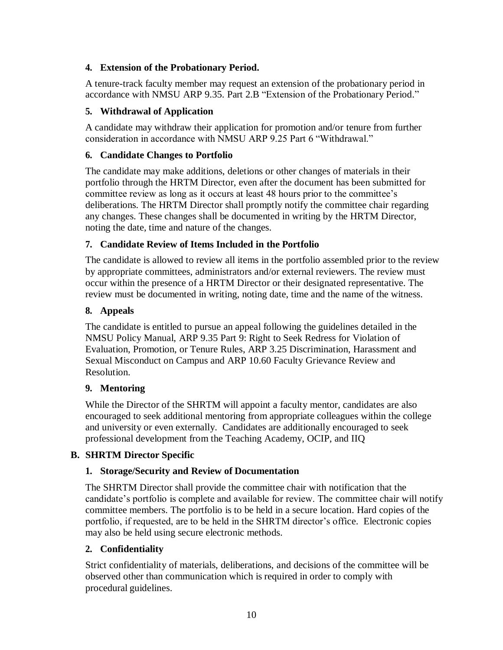### **4. Extension of the Probationary Period.**

A tenure-track faculty member may request an extension of the probationary period in accordance with NMSU ARP 9.35. Part 2.B "Extension of the Probationary Period."

### **5. Withdrawal of Application**

A candidate may withdraw their application for promotion and/or tenure from further consideration in accordance with NMSU ARP 9.25 Part 6 "Withdrawal."

### **6. Candidate Changes to Portfolio**

The candidate may make additions, deletions or other changes of materials in their portfolio through the HRTM Director, even after the document has been submitted for committee review as long as it occurs at least 48 hours prior to the committee's deliberations. The HRTM Director shall promptly notify the committee chair regarding any changes. These changes shall be documented in writing by the HRTM Director, noting the date, time and nature of the changes.

# **7. Candidate Review of Items Included in the Portfolio**

The candidate is allowed to review all items in the portfolio assembled prior to the review by appropriate committees, administrators and/or external reviewers. The review must occur within the presence of a HRTM Director or their designated representative. The review must be documented in writing, noting date, time and the name of the witness.

### **8. Appeals**

The candidate is entitled to pursue an appeal following the guidelines detailed in the NMSU Policy Manual, ARP 9.35 Part 9: Right to Seek Redress for Violation of Evaluation, Promotion, or Tenure Rules, ARP 3.25 Discrimination, Harassment and Sexual Misconduct on Campus and ARP 10.60 Faculty Grievance Review and Resolution.

### **9. Mentoring**

While the Director of the SHRTM will appoint a faculty mentor, candidates are also encouraged to seek additional mentoring from appropriate colleagues within the college and university or even externally. Candidates are additionally encouraged to seek professional development from the Teaching Academy, OCIP, and IIQ

### <span id="page-9-0"></span>**B. SHRTM Director Specific**

### **1. Storage/Security and Review of Documentation**

The SHRTM Director shall provide the committee chair with notification that the candidate's portfolio is complete and available for review. The committee chair will notify committee members. The portfolio is to be held in a secure location. Hard copies of the portfolio, if requested, are to be held in the SHRTM director's office. Electronic copies may also be held using secure electronic methods.

### **2. Confidentiality**

Strict confidentiality of materials, deliberations, and decisions of the committee will be observed other than communication which is required in order to comply with procedural guidelines.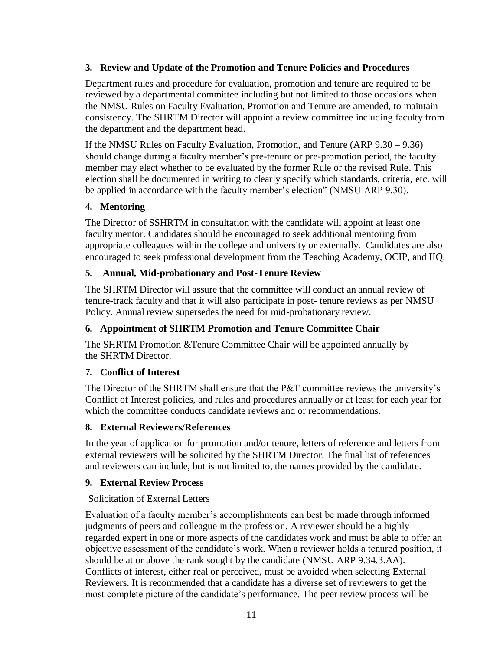### **3. Review and Update of the Promotion and Tenure Policies and Procedures**

Department rules and procedure for evaluation, promotion and tenure are required to be reviewed by a departmental committee including but not limited to those occasions when the NMSU Rules on Faculty Evaluation, Promotion and Tenure are amended, to maintain consistency. The SHRTM Director will appoint a review committee including faculty from the department and the department head.

If the NMSU Rules on Faculty Evaluation, Promotion, and Tenure (ARP 9.30 – 9.36) should change during a faculty member's pre-tenure or pre-promotion period, the faculty member may elect whether to be evaluated by the former Rule or the revised Rule. This election shall be documented in writing to clearly specify which standards, criteria, etc. will be applied in accordance with the faculty member's election" (NMSU ARP 9.30).

# **4. Mentoring**

The Director of SSHRTM in consultation with the candidate will appoint at least one faculty mentor. Candidates should be encouraged to seek additional mentoring from appropriate colleagues within the college and university or externally. Candidates are also encouraged to seek professional development from the Teaching Academy, OCIP, and IIQ.

# **5. Annual, Mid-probationary and Post-Tenure Review**

The SHRTM Director will assure that the committee will conduct an annual review of tenure-track faculty and that it will also participate in post- tenure reviews as per NMSU Policy. Annual review supersedes the need for mid-probationary review.

### **6. Appointment of SHRTM Promotion and Tenure Committee Chair**

The SHRTM Promotion &Tenure Committee Chair will be appointed annually by the SHRTM Director.

# **7. Conflict of Interest**

The Director of the SHRTM shall ensure that the P&T committee reviews the university's Conflict of Interest policies, and rules and procedures annually or at least for each year for which the committee conducts candidate reviews and or recommendations.

### **8. External Reviewers/References**

In the year of application for promotion and/or tenure, letters of reference and letters from external reviewers will be solicited by the SHRTM Director. The final list of references and reviewers can include, but is not limited to, the names provided by the candidate.

### **9. External Review Process**

# Solicitation of External Letters

Evaluation of a faculty member's accomplishments can best be made through informed judgments of peers and colleague in the profession. A reviewer should be a highly regarded expert in one or more aspects of the candidates work and must be able to offer an objective assessment of the candidate's work. When a reviewer holds a tenured position, it should be at or above the rank sought by the candidate (NMSU ARP 9.34.3.AA). Conflicts of interest, either real or perceived, must be avoided when selecting External Reviewers. It is recommended that a candidate has a diverse set of reviewers to get the most complete picture of the candidate's performance. The peer review process will be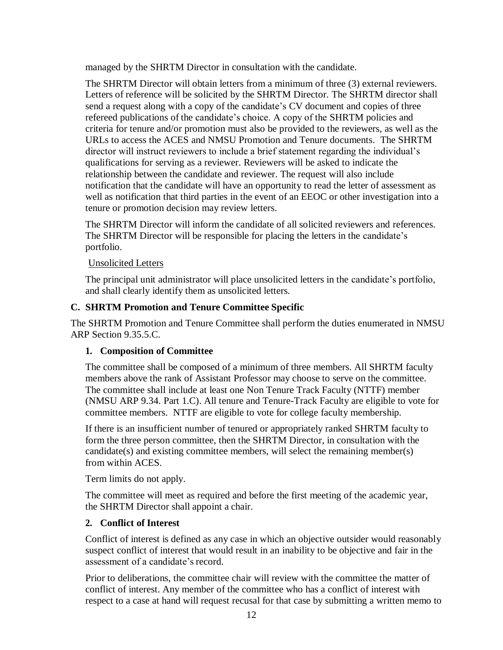managed by the SHRTM Director in consultation with the candidate.

The SHRTM Director will obtain letters from a minimum of three (3) external reviewers. Letters of reference will be solicited by the SHRTM Director. The SHRTM director shall send a request along with a copy of the candidate's CV document and copies of three refereed publications of the candidate's choice. A copy of the SHRTM policies and criteria for tenure and/or promotion must also be provided to the reviewers, as well as the URLs to access the ACES and NMSU Promotion and Tenure documents. The SHRTM director will instruct reviewers to include a brief statement regarding the individual's qualifications for serving as a reviewer. Reviewers will be asked to indicate the relationship between the candidate and reviewer. The request will also include notification that the candidate will have an opportunity to read the letter of assessment as well as notification that third parties in the event of an EEOC or other investigation into a tenure or promotion decision may review letters.

The SHRTM Director will inform the candidate of all solicited reviewers and references. The SHRTM Director will be responsible for placing the letters in the candidate's portfolio.

#### Unsolicited Letters

The principal unit administrator will place unsolicited letters in the candidate's portfolio, and shall clearly identify them as unsolicited letters.

### <span id="page-11-0"></span>**C. SHRTM Promotion and Tenure Committee Specific**

The SHRTM Promotion and Tenure Committee shall perform the duties enumerated in NMSU ARP Section 9.35.5.C.

### **1. Composition of Committee**

The committee shall be composed of a minimum of three members. All SHRTM faculty members above the rank of Assistant Professor may choose to serve on the committee. The committee shall include at least one Non Tenure Track Faculty (NTTF) member (NMSU ARP 9.34. Part 1.C). All tenure and Tenure-Track Faculty are eligible to vote for committee members. NTTF are eligible to vote for college faculty membership.

If there is an insufficient number of tenured or appropriately ranked SHRTM faculty to form the three person committee, then the SHRTM Director, in consultation with the candidate(s) and existing committee members, will select the remaining member(s) from within ACES.

Term limits do not apply.

The committee will meet as required and before the first meeting of the academic year, the SHRTM Director shall appoint a chair.

### **2. Conflict of Interest**

Conflict of interest is defined as any case in which an objective outsider would reasonably suspect conflict of interest that would result in an inability to be objective and fair in the assessment of a candidate's record.

Prior to deliberations, the committee chair will review with the committee the matter of conflict of interest. Any member of the committee who has a conflict of interest with respect to a case at hand will request recusal for that case by submitting a written memo to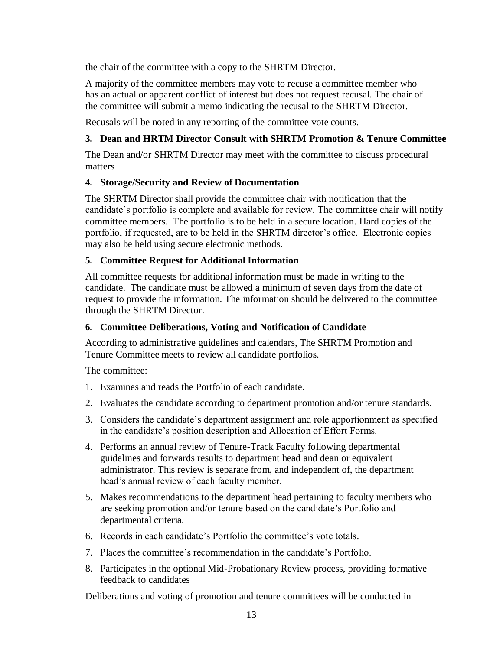the chair of the committee with a copy to the SHRTM Director.

A majority of the committee members may vote to recuse a committee member who has an actual or apparent conflict of interest but does not request recusal. The chair of the committee will submit a memo indicating the recusal to the SHRTM Director.

Recusals will be noted in any reporting of the committee vote counts.

#### **3. Dean and HRTM Director Consult with SHRTM Promotion & Tenure Committee**

The Dean and/or SHRTM Director may meet with the committee to discuss procedural matters

#### **4. Storage/Security and Review of Documentation**

The SHRTM Director shall provide the committee chair with notification that the candidate's portfolio is complete and available for review. The committee chair will notify committee members. The portfolio is to be held in a secure location. Hard copies of the portfolio, if requested, are to be held in the SHRTM director's office. Electronic copies may also be held using secure electronic methods.

#### **5. Committee Request for Additional Information**

All committee requests for additional information must be made in writing to the candidate. The candidate must be allowed a minimum of seven days from the date of request to provide the information. The information should be delivered to the committee through the SHRTM Director.

#### **6. Committee Deliberations, Voting and Notification of Candidate**

According to administrative guidelines and calendars, The SHRTM Promotion and Tenure Committee meets to review all candidate portfolios.

The committee:

- 1. Examines and reads the Portfolio of each candidate.
- 2. Evaluates the candidate according to department promotion and/or tenure standards.
- 3. Considers the candidate's department assignment and role apportionment as specified in the candidate's position description and Allocation of Effort Forms.
- 4. Performs an annual review of Tenure-Track Faculty following departmental guidelines and forwards results to department head and dean or equivalent administrator. This review is separate from, and independent of, the department head's annual review of each faculty member.
- 5. Makes recommendations to the department head pertaining to faculty members who are seeking promotion and/or tenure based on the candidate's Portfolio and departmental criteria.
- 6. Records in each candidate's Portfolio the committee's vote totals.
- 7. Places the committee's recommendation in the candidate's Portfolio.
- 8. Participates in the optional Mid-Probationary Review process, providing formative feedback to candidates

Deliberations and voting of promotion and tenure committees will be conducted in